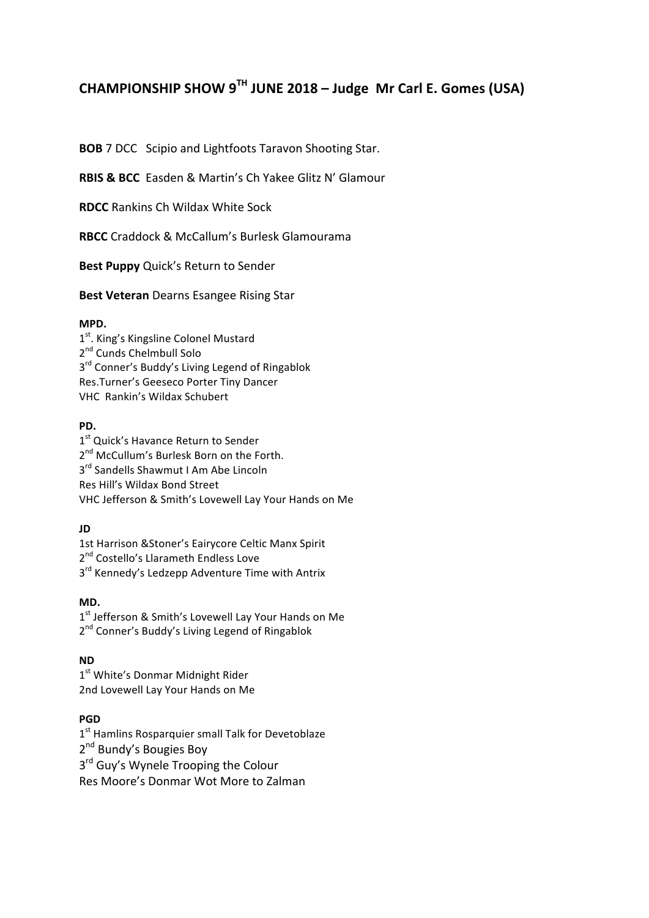# **CHAMPIONSHIP SHOW 9TH JUNE 2018 – Judge Mr Carl E. Gomes (USA)**

**BOB** 7 DCC Scipio and Lightfoots Taravon Shooting Star.

**RBIS & BCC** Fasden & Martin's Ch Yakee Glitz N' Glamour

**RDCC** Rankins Ch Wildax White Sock

**RBCC** Craddock & McCallum's Burlesk Glamourama

**Best Puppy** Quick's Return to Sender

**Best Veteran** Dearns Esangee Rising Star

#### **MPD.**

1<sup>st</sup>. King's Kingsline Colonel Mustard 2<sup>nd</sup> Cunds Chelmbull Solo 3<sup>rd</sup> Conner's Buddy's Living Legend of Ringablok Res.Turner's Geeseco Porter Tiny Dancer VHC Rankin's Wildax Schubert

#### **PD.**

1<sup>st</sup> Quick's Havance Return to Sender 2<sup>nd</sup> McCullum's Burlesk Born on the Forth. 3<sup>rd</sup> Sandells Shawmut I Am Abe Lincoln Res Hill's Wildax Bond Street VHC Jefferson & Smith's Lovewell Lay Your Hands on Me

#### **JD**

1st Harrison & Stoner's Eairycore Celtic Manx Spirit 2<sup>nd</sup> Costello's Llarameth Endless Love  $3<sup>rd</sup>$  Kennedy's Ledzepp Adventure Time with Antrix

#### **MD.**

1<sup>st</sup> Jefferson & Smith's Lovewell Lay Your Hands on Me 2<sup>nd</sup> Conner's Buddy's Living Legend of Ringablok

#### **ND**

 $1<sup>st</sup>$  White's Donmar Midnight Rider 2nd Lovewell Lay Your Hands on Me

#### **PGD**

 $1<sup>st</sup>$  Hamlins Rosparquier small Talk for Devetoblaze 2<sup>nd</sup> Bundy's Bougies Boy  $3<sup>rd</sup>$  Guy's Wynele Trooping the Colour Res Moore's Donmar Wot More to Zalman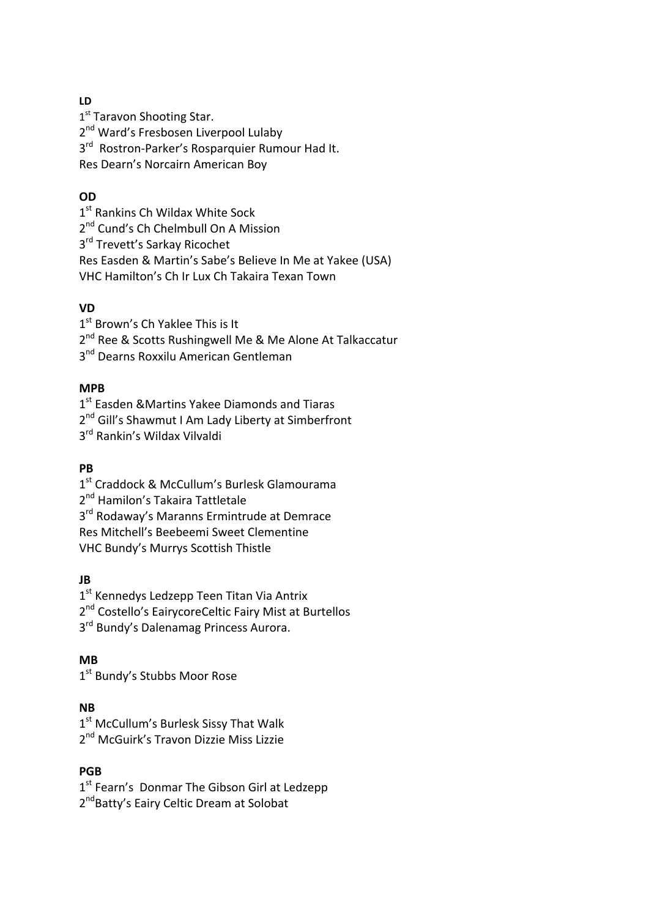#### **LD**

1<sup>st</sup> Taravon Shooting Star. 2<sup>nd</sup> Ward's Fresbosen Liverpool Lulaby

 $3<sup>rd</sup>$  Rostron-Parker's Rosparquier Rumour Had It.

Res Dearn's Norcairn American Boy

### **OD**

1<sup>st</sup> Rankins Ch Wildax White Sock

2<sup>nd</sup> Cund's Ch Chelmbull On A Mission

3<sup>rd</sup> Trevett's Sarkay Ricochet

Res Easden & Martin's Sabe's Believe In Me at Yakee (USA)

VHC Hamilton's Ch Ir Lux Ch Takaira Texan Town

### **VD**

 $1<sup>st</sup>$  Brown's Ch Yaklee This is It

2<sup>nd</sup> Ree & Scotts Rushingwell Me & Me Alone At Talkaccatur

3<sup>nd</sup> Dearns Roxxilu American Gentleman

### **MPB**

1<sup>st</sup> Easden &Martins Yakee Diamonds and Tiaras 2<sup>nd</sup> Gill's Shawmut I Am Lady Liberty at Simberfront

3<sup>rd</sup> Rankin's Wildax Vilvaldi

# **PB**

1<sup>st</sup> Craddock & McCullum's Burlesk Glamourama

2<sup>nd</sup> Hamilon's Takaira Tattletale

3<sup>rd</sup> Rodaway's Maranns Ermintrude at Demrace

Res Mitchell's Beebeemi Sweet Clementine

VHC Bundy's Murrys Scottish Thistle

# **JB**

1<sup>st</sup> Kennedys Ledzepp Teen Titan Via Antrix

2<sup>nd</sup> Costello's EairycoreCeltic Fairy Mist at Burtellos

3<sup>rd</sup> Bundy's Dalenamag Princess Aurora.

# **MB**

1<sup>st</sup> Bundy's Stubbs Moor Rose

# **NB**

1<sup>st</sup> McCullum's Burlesk Sissy That Walk 2<sup>nd</sup> McGuirk's Travon Dizzie Miss Lizzie

# **PGB**

 $1<sup>st</sup>$  Fearn's Donmar The Gibson Girl at Ledzepp 2<sup>nd</sup>Batty's Eairy Celtic Dream at Solobat